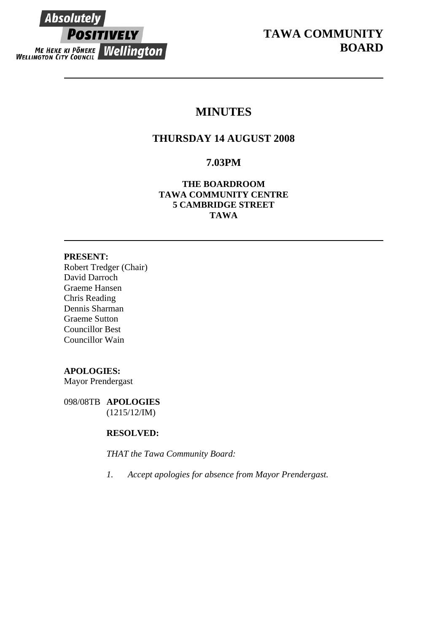**Absolutely POSITIVELY ME HEKE KI PÖNEKE Wellington** 

# **MINUTES**

# **THURSDAY 14 AUGUST 2008**

# **7.03PM**

**THE BOARDROOM TAWA COMMUNITY CENTRE 5 CAMBRIDGE STREET TAWA** 

## **PRESENT:**

Robert Tredger (Chair) David Darroch Graeme Hansen Chris Reading Dennis Sharman Graeme Sutton Councillor Best Councillor Wain

# **APOLOGIES:**

Mayor Prendergast

098/08TB **APOLOGIES** (1215/12/IM)

# **RESOLVED:**

*THAT the Tawa Community Board:* 

*1. Accept apologies for absence from Mayor Prendergast.*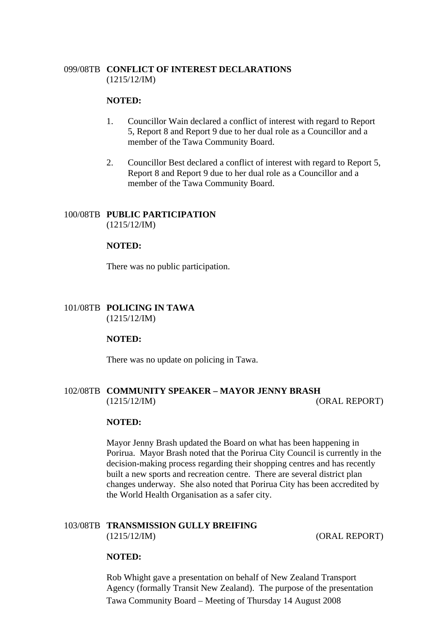# 099/08TB **CONFLICT OF INTEREST DECLARATIONS** (1215/12/IM)

## **NOTED:**

- 1. Councillor Wain declared a conflict of interest with regard to Report 5, Report 8 and Report 9 due to her dual role as a Councillor and a member of the Tawa Community Board.
- 2. Councillor Best declared a conflict of interest with regard to Report 5, Report 8 and Report 9 due to her dual role as a Councillor and a member of the Tawa Community Board.

## 100/08TB **PUBLIC PARTICIPATION** (1215/12/IM)

## **NOTED:**

There was no public participation.

## 101/08TB **POLICING IN TAWA**  (1215/12/IM)

#### **NOTED:**

There was no update on policing in Tawa.

# 102/08TB **COMMUNITY SPEAKER – MAYOR JENNY BRASH** (1215/12/IM) (ORAL REPORT)

#### **NOTED:**

Mayor Jenny Brash updated the Board on what has been happening in Porirua. Mayor Brash noted that the Porirua City Council is currently in the decision-making process regarding their shopping centres and has recently built a new sports and recreation centre. There are several district plan changes underway. She also noted that Porirua City has been accredited by the World Health Organisation as a safer city.

# 103/08TB **TRANSMISSION GULLY BREIFING**  (1215/12/IM) (ORAL REPORT)

#### **NOTED:**

Tawa Community Board – Meeting of Thursday 14 August 2008 Rob Whight gave a presentation on behalf of New Zealand Transport Agency (formally Transit New Zealand). The purpose of the presentation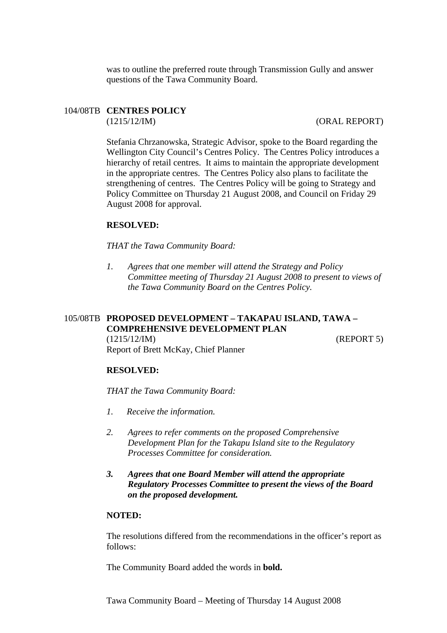was to outline the preferred route through Transmission Gully and answer questions of the Tawa Community Board.

# 104/08TB **CENTRES POLICY**

(1215/12/IM) (ORAL REPORT)

Stefania Chrzanowska, Strategic Advisor, spoke to the Board regarding the Wellington City Council's Centres Policy. The Centres Policy introduces a hierarchy of retail centres. It aims to maintain the appropriate development in the appropriate centres. The Centres Policy also plans to facilitate the strengthening of centres. The Centres Policy will be going to Strategy and Policy Committee on Thursday 21 August 2008, and Council on Friday 29 August 2008 for approval.

#### **RESOLVED:**

*THAT the Tawa Community Board:* 

*1. Agrees that one member will attend the Strategy and Policy Committee meeting of Thursday 21 August 2008 to present to views of the Tawa Community Board on the Centres Policy.* 

# 105/08TB **PROPOSED DEVELOPMENT – TAKAPAU ISLAND, TAWA – COMPREHENSIVE DEVELOPMENT PLAN**  (1215/12/IM) (REPORT 5) Report of Brett McKay, Chief Planner

#### **RESOLVED:**

#### *THAT the Tawa Community Board:*

- *1. Receive the information.*
- *2. Agrees to refer comments on the proposed Comprehensive Development Plan for the Takapu Island site to the Regulatory Processes Committee for consideration.*
- *3. Agrees that one Board Member will attend the appropriate Regulatory Processes Committee to present the views of the Board on the proposed development.*

## **NOTED:**

The resolutions differed from the recommendations in the officer's report as follows:

The Community Board added the words in **bold.**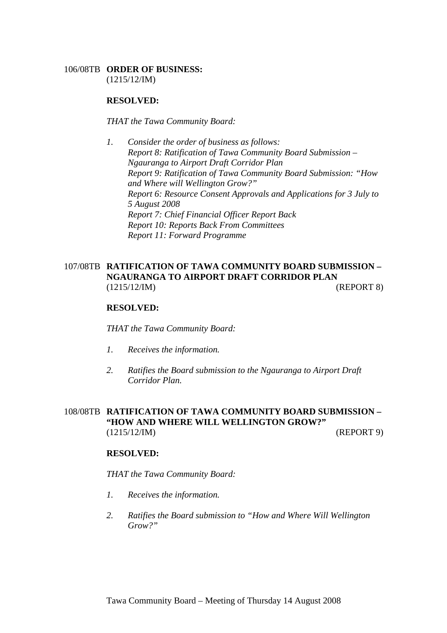## 106/08TB **ORDER OF BUSINESS:**

(1215/12/IM)

## **RESOLVED:**

*THAT the Tawa Community Board:* 

*1. Consider the order of business as follows: Report 8: Ratification of Tawa Community Board Submission – Ngauranga to Airport Draft Corridor Plan Report 9: Ratification of Tawa Community Board Submission: "How and Where will Wellington Grow?" Report 6: Resource Consent Approvals and Applications for 3 July to 5 August 2008 Report 7: Chief Financial Officer Report Back Report 10: Reports Back From Committees Report 11: Forward Programme* 

# 107/08TB **RATIFICATION OF TAWA COMMUNITY BOARD SUBMISSION – NGAURANGA TO AIRPORT DRAFT CORRIDOR PLAN**  (1215/12/IM) (REPORT 8)

#### **RESOLVED:**

*THAT the Tawa Community Board:* 

- *1. Receives the information.*
- *2. Ratifies the Board submission to the Ngauranga to Airport Draft Corridor Plan.*

# 108/08TB **RATIFICATION OF TAWA COMMUNITY BOARD SUBMISSION – "HOW AND WHERE WILL WELLINGTON GROW?"**  (1215/12/IM) (REPORT 9)

#### **RESOLVED:**

*THAT the Tawa Community Board:* 

- *1. Receives the information.*
- *2. Ratifies the Board submission to "How and Where Will Wellington Grow?"*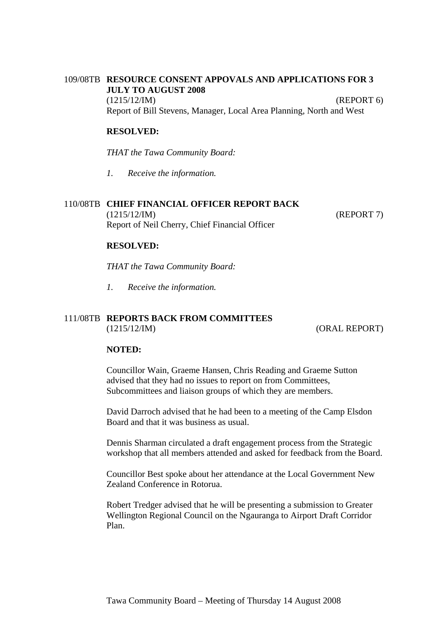# 109/08TB **RESOURCE CONSENT APPOVALS AND APPLICATIONS FOR 3 JULY TO AUGUST 2008** (1215/12/IM) (REPORT 6) Report of Bill Stevens, Manager, Local Area Planning, North and West

# **RESOLVED:**

*THAT the Tawa Community Board:* 

*1. Receive the information.* 

## 110/08TB **CHIEF FINANCIAL OFFICER REPORT BACK**

(1215/12/IM) (REPORT 7) Report of Neil Cherry, Chief Financial Officer

#### **RESOLVED:**

*THAT the Tawa Community Board:* 

*1. Receive the information.* 

## 111/08TB **REPORTS BACK FROM COMMITTEES**  (1215/12/IM) (ORAL REPORT)

### **NOTED:**

Councillor Wain, Graeme Hansen, Chris Reading and Graeme Sutton advised that they had no issues to report on from Committees, Subcommittees and liaison groups of which they are members.

David Darroch advised that he had been to a meeting of the Camp Elsdon Board and that it was business as usual.

Dennis Sharman circulated a draft engagement process from the Strategic workshop that all members attended and asked for feedback from the Board.

Councillor Best spoke about her attendance at the Local Government New Zealand Conference in Rotorua.

Robert Tredger advised that he will be presenting a submission to Greater Wellington Regional Council on the Ngauranga to Airport Draft Corridor Plan.